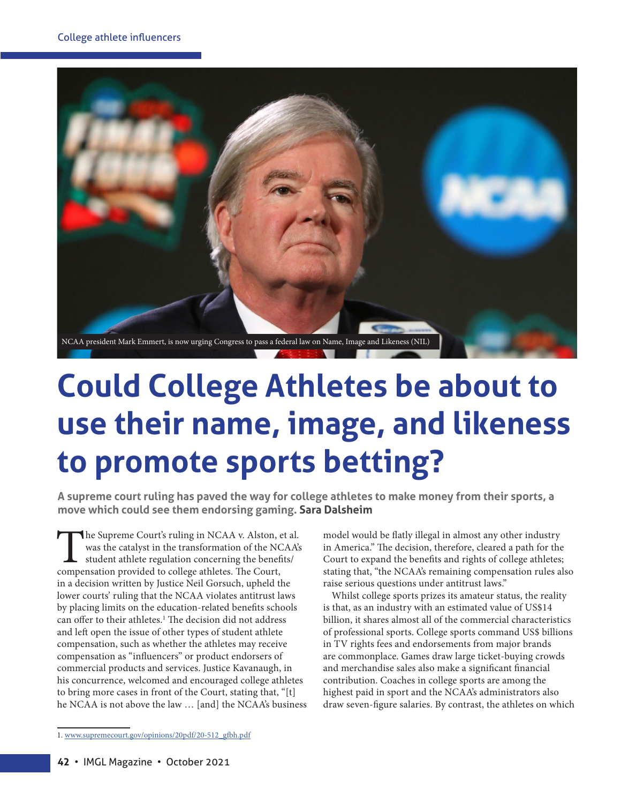

## **Could College Athletes be about to use their name, image, and likeness to promote sports betting?**

**A supreme court ruling has paved the way for college athletes to make money from their sports, a move which could see them endorsing gaming. Sara Dalsheim**

The Supreme Court's ruling in NCAA v. Alston, et al. was the catalyst in the transformation of the NCAA's student athlete regulation concerning the benefits/ compensation provided to college athletes. The Court, in a decision written by Justice Neil Gorsuch, upheld the lower courts' ruling that the NCAA violates antitrust laws by placing limits on the education-related benefits schools can offer to their athletes.<sup>1</sup> The decision did not address and left open the issue of other types of student athlete compensation, such as whether the athletes may receive compensation as "influencers" or product endorsers of commercial products and services. Justice Kavanaugh, in his concurrence, welcomed and encouraged college athletes to bring more cases in front of the Court, stating that, "[t] he NCAA is not above the law … [and] the NCAA's business

model would be flatly illegal in almost any other industry in America." The decision, therefore, cleared a path for the Court to expand the benefits and rights of college athletes; stating that, "the NCAA's remaining compensation rules also raise serious questions under antitrust laws."

Whilst college sports prizes its amateur status, the reality is that, as an industry with an estimated value of US\$14 billion, it shares almost all of the commercial characteristics of professional sports. College sports command US\$ billions in TV rights fees and endorsements from major brands are commonplace. Games draw large ticket-buying crowds and merchandise sales also make a significant financial contribution. Coaches in college sports are among the highest paid in sport and the NCAA's administrators also draw seven-figure salaries. By contrast, the athletes on which

<sup>1.</sup> www.supremecourt.gov/opinions/20pdf/20-512\_gfbh.pdf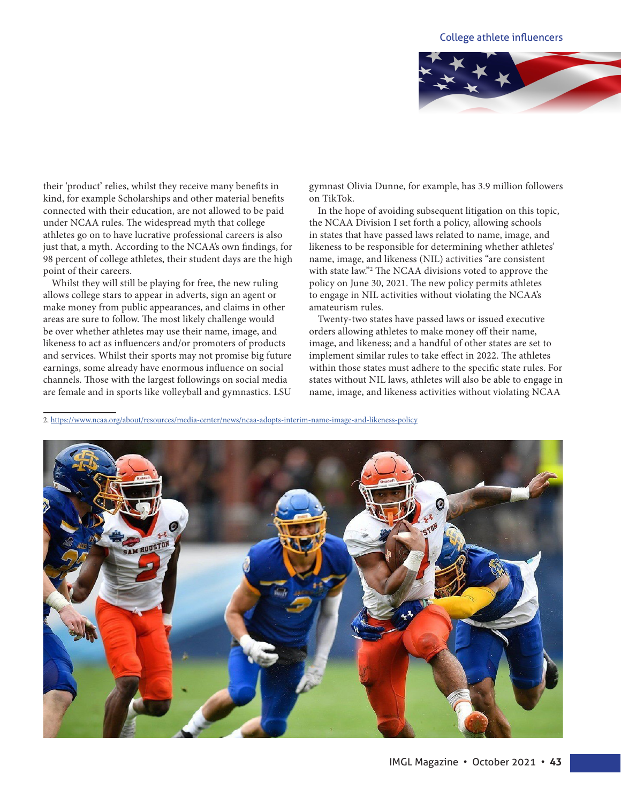

their 'product' relies, whilst they receive many benefits in kind, for example Scholarships and other material benefits connected with their education, are not allowed to be paid under NCAA rules. The widespread myth that college athletes go on to have lucrative professional careers is also just that, a myth. According to the NCAA's own findings, for 98 percent of college athletes, their student days are the high point of their careers.

Whilst they will still be playing for free, the new ruling allows college stars to appear in adverts, sign an agent or make money from public appearances, and claims in other areas are sure to follow. The most likely challenge would be over whether athletes may use their name, image, and likeness to act as influencers and/or promoters of products and services. Whilst their sports may not promise big future earnings, some already have enormous influence on social channels. Those with the largest followings on social media are female and in sports like volleyball and gymnastics. LSU

gymnast Olivia Dunne, for example, has 3.9 million followers on TikTok.

In the hope of avoiding subsequent litigation on this topic, the NCAA Division I set forth a policy, allowing schools in states that have passed laws related to name, image, and likeness to be responsible for determining whether athletes' name, image, and likeness (NIL) activities "are consistent with state law."2 The NCAA divisions voted to approve the policy on June 30, 2021. The new policy permits athletes to engage in NIL activities without violating the NCAA's amateurism rules.

Twenty-two states have passed laws or issued executive orders allowing athletes to make money off their name, image, and likeness; and a handful of other states are set to implement similar rules to take effect in 2022. The athletes within those states must adhere to the specific state rules. For states without NIL laws, athletes will also be able to engage in name, image, and likeness activities without violating NCAA

2. https://www.ncaa.org/about/resources/media-center/news/ncaa-adopts-interim-name-image-and-likeness-policy